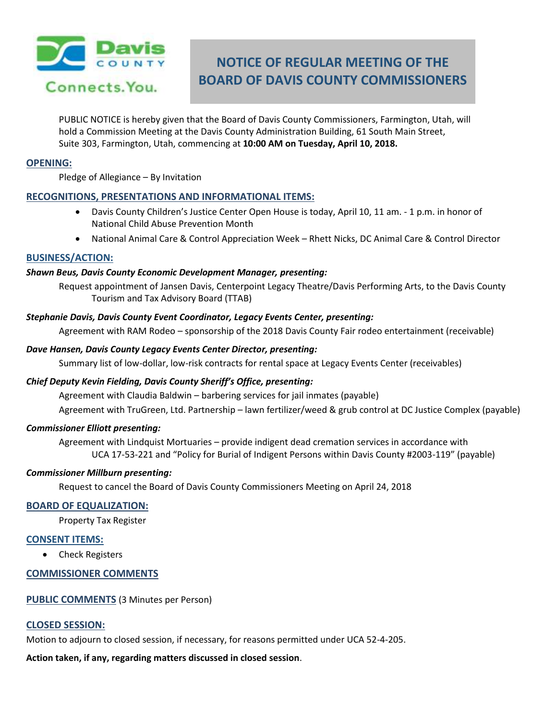

# **NOTICE OF REGULAR MEETING OF THE BOARD OF DAVIS COUNTY COMMISSIONERS**

PUBLIC NOTICE is hereby given that the Board of Davis County Commissioners, Farmington, Utah, will hold a Commission Meeting at the Davis County Administration Building, 61 South Main Street, Suite 303, Farmington, Utah, commencing at **10:00 AM on Tuesday, April 10, 2018.**

#### **OPENING:**

Pledge of Allegiance – By Invitation

# **RECOGNITIONS, PRESENTATIONS AND INFORMATIONAL ITEMS:**

- Davis County Children's Justice Center Open House is today, April 10, 11 am. 1 p.m. in honor of National Child Abuse Prevention Month
- National Animal Care & Control Appreciation Week Rhett Nicks, DC Animal Care & Control Director

## **BUSINESS/ACTION:**

## *Shawn Beus, Davis County Economic Development Manager, presenting:*

Request appointment of Jansen Davis, Centerpoint Legacy Theatre/Davis Performing Arts, to the Davis County Tourism and Tax Advisory Board (TTAB)

## *Stephanie Davis, Davis County Event Coordinator, Legacy Events Center, presenting:*

Agreement with RAM Rodeo – sponsorship of the 2018 Davis County Fair rodeo entertainment (receivable)

## *Dave Hansen, Davis County Legacy Events Center Director, presenting:*

Summary list of low-dollar, low-risk contracts for rental space at Legacy Events Center (receivables)

# *Chief Deputy Kevin Fielding, Davis County Sheriff's Office, presenting:*

Agreement with Claudia Baldwin – barbering services for jail inmates (payable) Agreement with TruGreen, Ltd. Partnership – lawn fertilizer/weed & grub control at DC Justice Complex (payable)

# *Commissioner Elliott presenting:*

Agreement with Lindquist Mortuaries – provide indigent dead cremation services in accordance with UCA 17-53-221 and "Policy for Burial of Indigent Persons within Davis County #2003-119" (payable)

#### *Commissioner Millburn presenting:*

Request to cancel the Board of Davis County Commissioners Meeting on April 24, 2018

# **BOARD OF EQUALIZATION:**

Property Tax Register

#### **CONSENT ITEMS:**

• Check Registers

# **COMMISSIONER COMMENTS**

**PUBLIC COMMENTS** (3 Minutes per Person)

## **CLOSED SESSION:**

Motion to adjourn to closed session, if necessary, for reasons permitted under UCA 52-4-205.

# **Action taken, if any, regarding matters discussed in closed session**.